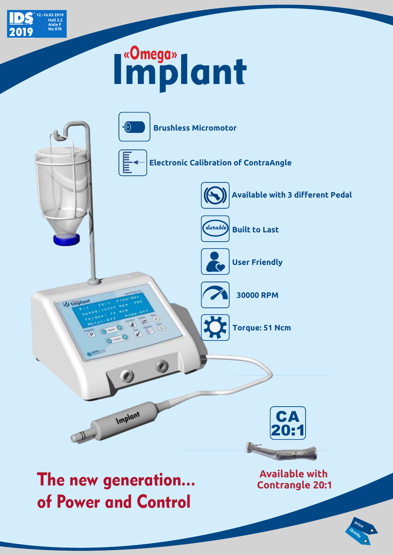

## Implant



**Quality Price**